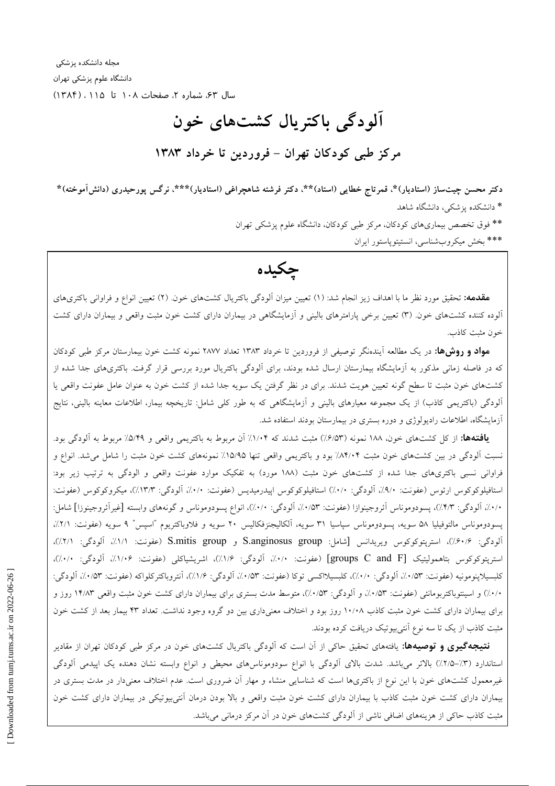مجله دانشکده پزشکی دانشگاه علوم پزشکی تهران سال ۶۳، شماره ۲، صفحات ۱۰۸ تا ۱۱۵، (۱۳۸۴)

# آلودگی باکتریال کشتهای خون مرکز طبی کودکان تھران - فروردین تا خرداد ۱۳۸۳

دکتر محسن چیتساز (استادیار)\*، قمرتاج خطایی (استاد)\*\*، دکتر فرشته شاهچراغی (استادیار)\*\*\*، نرگس پورحیدری (دانشآموخته)\* \* دانشکده یزشکی، دانشگاه شاهد

> \*\* فوق تخصص بیماریهای کودکان، مرکز طبی کودکان، دانشگاه علوم پزشکی تهران \*\*\* بخش ميكروبشناسي، انستيتوپاستور ايران

چکیده

**مقدمه:** تحقیق مورد نظر ما با اهداف زیز انجام شد: (۱) تعیین میزان آلودگی باکتریال کشتهای خون. (۲) تعیین انواع و فراوانی باکتریهای آلوده کننده کشتهای خون. (۳) تعیین برخی پارامترهای بالینی و آزمایشگاهی در بیماران دارای کشت خون مثبت واقعی و بیماران دارای کشت خون مثبت كاذب.

مواد و روشها: در یک مطالعه آیندهنگر توصیفی از فروردین تا خرداد ۱۳۸۳ تعداد ۲۸۷۷ نمونه کشت خون بیمارستان مرکز طبی کودکان که در فاصله زمانی مذکور به آزمایشگاه بیمارستان ارسال شده بودند، برای آلودگی باکتریال مورد بررسی قرار گرفت. باکتریهای جدا شده از کشتهای خون مثبت تا سطح گونه تعیین هویت شدند. برای در نظر گرفتن یک سویه جدا شده از کشت خون به عنوان عامل عفونت واقعی یا الودگی (باکتریمی کاذب) از یک مجموعه معیارهای بالینی و آزمایشگاهی که به طور کلی شامل: تاریخچه بیمار، اطلاعات معاینه بالینی، نتایج آزمایشگاه، اطلاعات رادیولوژی و دوره بستری در بیمارستان بودند استفاده شد.

**یافتهها:** از کل کشتهای خون، ۱۸۸ نمونه (۶/۵۳٪) مثبت شدند که ۱/۰۴٪ آن مربوط به باکتریمی واقعی و ۵/۴۹٪ مربوط به آلودگی بود. نسبت آلودگی در بین کشتهای خون مثبت ۸۴/۰۴٪ بود و باکتریمی واقعی تنها ۱۵/۹۵٪ نمونههای کشت خون مثبت را شامل می شد. انواع و فراوانی نسبی باکتریهای جدا شده از کشتهای خون مثبت (۱۸۸ مورد) به تفکیک موارد عفونت واقعی و الودگی به ترتیب زیر بود: استافيلوكوكوس ارئوس (عفونت: ٩/٠٪، آلودگي: ٠/٠٪) استافيلوكوكوس اپيدرميديس (عفونت: ٠/٠٪، آلودگي: ١٣/٣٪)، ميكروكوكوس (عفونت: ۰/۰/۰)، آلودگی: ۰/۴/۳)، پسودوموناس آئروجینوازا (عفونت: ۰/۰/۵۳)، آلودگی: ۰/۰/۰)، انواع پسودوموناس و گونههای وابسته [غیرآئروجینوزا] شامل: پسودوموناس مالتوفيليا ۵۸ سويه، پسودوموناس سپاسيا ۳۱ سويه، الكاليجنزفكاليس ۲۰ سويه و فلاوباكتريوم "اسپس" ۹ سويه (عفونت: ۲/۱٪، آلودگی: ۶/۰/۶٪)، استریتوکوکوس ویریدانس [شامل: S.anginosus group و S.mitis group (عفونت: ۱/۱٪، آلودگی: ۲/۱٪)، استريتوكوكوس بتاهموليتيك [groups C and F] (عفونت: ١٠/٠٪، آلودگي: ١/٤٪)، اشريشياكلي (عفونت: ١/١٠٪، آلودگي: ١٠٠٪)، كلبسيلاپنومونيه (عفونت: ١٠/٥٣٪، آلودگي: ١٠/٠٪)، كلبسيلااكسي توكا (عفونت: ١/٥٣٪، آلودگي: ١/٧٪)، آنتروباكتركلواكه (عفونت: ١/٥٣٪، آلودگي: ۰/۰/۰) و اسپنتوباکتربومانئی (عفونت: ۰/۵۳٪، و آلودگی: ۰/۵۳٪)، متوسط مدت بستری برای بیماران دارای کشت خون مثبت واقعی ۱۴/۸۳ روز و برای بیماران دارای کشت خون مثبت کاذب ۱۰/۰۸ روز بود و اختلاف معنیداری بین دو گروه وجود نداشت. تعداد ۴۳ بیمار بعد از کشت خون مثبت کاذب از یک تا سه نوع آنتیبیوتیک دریافت کرده بودند.

**نتیجهگیری و توصیهها:** یافتههای تحقیق حاکی از آن است که آلودگی باکتریال کشتهای خون در مرکز طبی کودکان تهران از مقادیر استاندارد (۳٪–۲٫۵٪) بالاتر میباشد. شدت بالای آلودگی با انواع سودوموناسهای محیطی و انواع وابسته نشان دهنده یک اپیدمی آلودگی غیرمعمول کشتهای خون با این نوع از باکتریها است که شناسایی منشاء و مهار آن ضروری است. عدم اختلاف معنیدار در مدت بستری در بیماران دارای کشت خون مثبت کاذب با بیماران دارای کشت خون مثبت واقعی و بالا بودن درمان آنتی بیوتیکی در بیماران دارای کشت خون مثبت کاذب حاکی از هزینههای اضافی ناشی از آلودگی کشتهای خون در آن مرکز درمانی میباشد.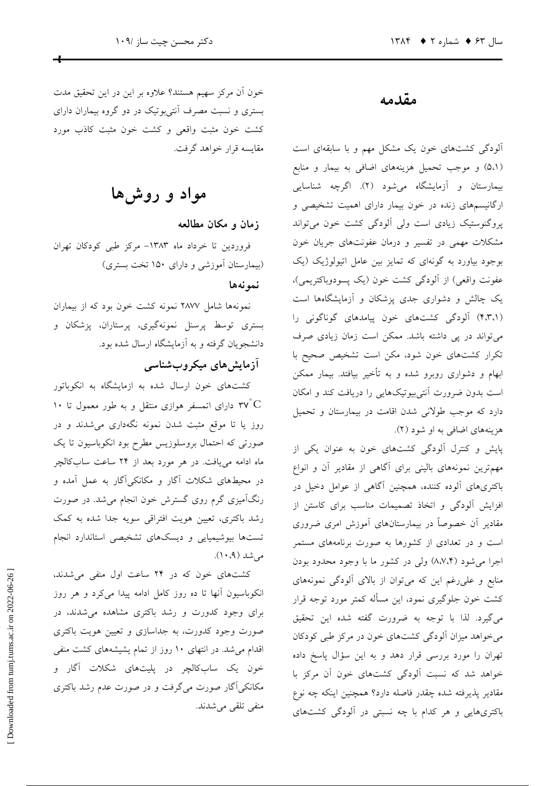خون أن مركز سهيم هستند؟ علاوه بر اين در اين تحقيق مدت بستری و نسبت مصرف اَنتی بوتیک در دو گروه بیماران دارای کشت خون مثبت واقعی و کشت خون مثبت کاذب مورد مقايسه قرار خواهد گرفت.

مواد و روشها

زمان و مکان مطالعه

فروردين تا خرداد ماه ١٣٨٣- مركز طبي كودكان تهران (بیمارستان آموزشی و دارای ۱۵۰ تخت بستری)

نمونهها

نمونهها شامل ۲۸۷۷ نمونه کشت خون بود که از بیماران بستری توسط پرسنل نمونهگیری، پرستاران، پزشکان و دانشجویان گرفته و به آزمایشگاه ارسال شده بود.

# آزمایشهای میکروبشناسی

کشتهای خون ارسال شده به ازمایشگاه به انکوباتور ۱۰ دارای اتمسفر هوازی منتقل و به طور معمول تا ۱۰  $\rm ^{\circ}$ روز یا تا موقع مثبت شدن نمونه نگهداری می شدند و در صورتی که احتمال بروسلوزیس مطرح بود انکوباسیون تا یک ماه ادامه می یافت. در هر مورد بعد از ۲۴ ساعت سابکالچر در محیطهای شکلات آگار و مکانکیآگار به عمل آمده و رنگآمیزی گرم روی گسترش خون انجام میشد. در صورت رشد باکتری، تعیین هویت افتراقی سویه جدا شده به کمک تستها بیوشیمیایی و دیسکهای تشخیصی استاندارد انجام مے شد (۹، ۱۰).

کشتهای خون که در ۲۴ ساعت اول منفی می شدند، انکوباسیون آنها تا ده روز کامل ادامه پیدا میکرد و هر روز برای وجود کدورت و رشد باکتری مشاهده می شدند، در صورت وجود کدورت، به جداسازی و تعیین هویت باکتری اقدام می شد. در انتهای ۱۰ روز از تمام یشیشههای کشت منفی خون یک سابکالچر در پلیتهای شکلات آگار و مکانکی آگار صورت میگرفت و در صورت عدم رشد باکتری منفي تلقى مى شدند.

# مقدمه

آلودگی کشتهای خون یک مشکل مهم و با سابقهای است (۵،۱) و موجب تحمیل هزینههای اضافی به بیمار و منابع بیمارستان و آزمایشگاه می شود (۲). اگرچه شناسایی ارگانیسمهای زنده در خون بیمار دارای اهمیت تشخیصی و پروگنوستیک زیادی است ولی آلودگی کشت خون میتواند مشکلات مهمی در تفسیر و درمان عفونتهای جریان خون بوجود بیاورد به گونهای که تمایز بین عامل اتیولوژیک (یک عفونت واقعي) از آلودگي كشت خون (يک پسودوباکتريمي)، یک چالش و دشواری جدی پزشکان و آزمایشگاهها است (۴،۳،۱) آلودگی کشتهای خون پیامدهای گوناگونی را می تواند در پی داشته باشد. ممکن است زمان زیادی صرف تکرار کشتهای خون شود، مکن است تشخیص صحیح با ابهام و دشواری روبرو شده و به تأخیر بیافتد. بیمار ممکن است بدون ضرورت أنتى بيوتيكهايي را دريافت كند و امكان دارد که موجب طولانی شدن اقامت در بیمارستان و تحمیل هزینههای اضافی به او شود (۲).

پایش و کنترل آلودگی کشتهای خون به عنوان یکی از مهمترین نمونههای بالینی برای آگاهی از مقادیر آن و انواع باکتریهای آلوده کننده، همچنین آگاهی از عوامل دخیل در افزایش آلودگی و اتخاذ تصمیمات مناسب برای کاستن از مقادیر آن خصوصاً در بیمارستانهای آموزش امری ضروری است و در تعدادی از کشورها به صورت برنامههای مستمر اجرا می شود (۸،۷،۴) ولی در کشور ما با وجود محدود بودن منابع و على رغم اين كه مى توان از بالاى آلودگى نمونههاى کشت خون جلوگیری نمود، این مسأله کمتر مورد توجه قرار مي گيرد. لذا با توجه به ضرورت گفته شده اين تحقيق می خواهد میزان آلودگی کشتهای خون در مرکز طبی کودکان تهران را مورد بررسی قرار دهد و به این سؤال پاسخ داده خواهد شد که نسبت آلودگی کشتهای خون آن مرکز با مقادیر پذیرفته شده چقدر فاصله دارد؟ همچنین اینکه چه نوع باکتریهایی و هر کدام با چه نسبتی در آلودگی کشتهای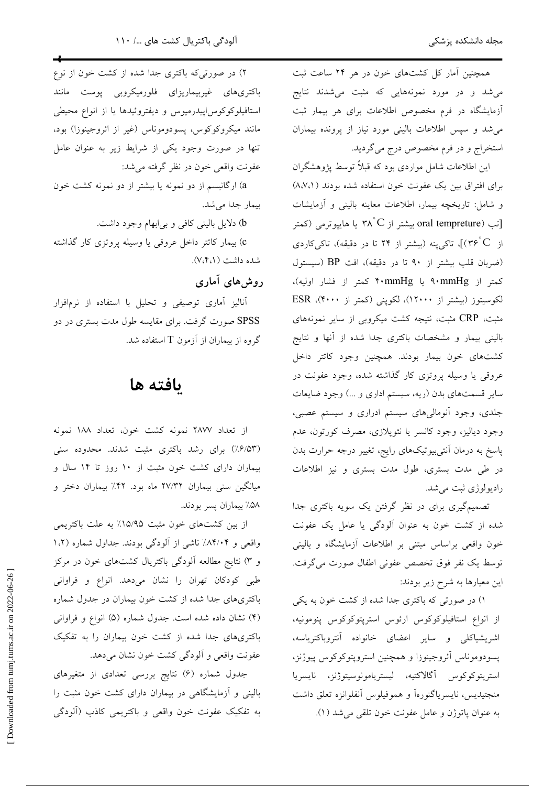همچنین آمار کل کشتهای خون در هر ۲۴ ساعت ثبت می شد و در مورد نمونههایی که مثبت می شدند نتایج آزمایشگاه در فرم مخصوص اطلاعات برای هر بیمار ثبت می شد و سپس اطلاعات بالینی مورد نیاز از پرونده بیماران استخراج و در فرم مخصوص درج مي گرديد.

این اطلاعات شامل مواردی بود که قبلاً توسط پژوهشگران برای افتراق بین یک عفونت خون استفاده شده بودند (۸،۷،۱) و شامل: تاريخچه بيمار، اطلاعات معاينه باليني و آزمايشات تب (oral tempreture بیشتر از ۳۸ ْC یا هایپوترمی (کمتر ( از ٣۶ ْ٢)]، تاكىينه (بيشتر از ٢۴ تا در دقيقه)، تاكىكاردى (ضربان قلب بیشتر از ۹۰ تا در دقیقه)، افت BP (سیستول کمتر از ۹۰mmHg یا ۴۰mmHg کمتر از فشار اولیه)، لکوسیتوز (بیشتر از ۱۲۰۰۰)، لکوپنی (کمتر از ۴۰۰۰)، ESR مثبت، CRP مثبت، نتيجه كشت ميكروبي از ساير نمونههاي بالینی بیمار و مشخصات باکتری جدا شده از آنها و نتایج كشتهاى خون بيمار بودند. همچنين وجود كاتتر داخل عروقی یا وسیله پروتزی کار گذاشته شده، وجود عفونت در سایر قسمتهای بدن (ریه، سیستم اداری و …) وجود ضایعات جلدی، وجود آنومالیهای سیستم ادراری و سیستم عصبی، وجود دياليز، وجود كانسر يا نئوپلازى، مصرف كورتون، عدم پاسخ به درمان اَنتی بیوتیکهای رایج، تغییر درجه حرارت بدن در طی مدت بستری، طول مدت بستری و نیز اطلاعات راديولوژي ثبت مي شد.

تصمیمگیری برای در نظر گرفتن یک سویه باکتری جدا شده از کشت خون به عنوان آلودگی یا عامل یک عفونت خون واقعی براساس مبتنی بر اطلاعات آزمایشگاه و بالینی توسط يك نفر فوق تخصص عفوني اطفال صورت مي گرفت. این معیارها به شرح زیر بودند:

١) در صورتی که باکتری جدا شده از کشت خون به یکی از انواع استافیلوکوکوس ارئوس استرپتوکوکوس پنومونیه، اشریشیاکلی و سایر اعضای خانواده آنتروباکتریاسه، پسودوموناس أئروجينوزا و همچنين استروپتوكوكوس پيوژنز، استرپتوكوكوس آگالاكتيه، ليستريامونوسيتوژنز، نايسريا منجتيديس، نايسرياگنورهآ و هموفيلوس أنفلوانزه تعلق داشت به عنوان ياتوژن و عامل عفونت خون تلقى مى شد (١).

۲) در صورتیکه باکتری جدا شده از کشت خون از نوع باکتریهای غیربیماریزای فلورمیکروبی پوست مانند استافیلوکوکوس!پیدرمیوس و دیفتروئیدها یا از انواع محیطی مانند میکروکوکوس، پسودوموناس (غیر از ائروجینوزا) بود، تنها در صورت وجود یکی از شرایط زیر به عنوان عامل عفونت واقعي خون در نظر گرفته مي شد:

a) ارگانیسم از دو نمونه یا بیشتر از دو نمونه کشت خون بيمار جدا مي شد.

b) دلایل بالینی کافی و بی|بهام وجود داشت.

c) بیمار کاتتر داخل عروقی یا وسیله پروتزی کار گذاشته شده داشت (۷،۴،۱).

#### روش های آماری

آنالیز آماری توصیفی و تحلیل با استفاده از نرمافزار SPSS صورت گرفت. برای مقایسه طول مدت بستری در دو گروه از بیماران از آزمون T استفاده شد.

# ىافته ها

از تعداد ۲۸۷۷ نمونه کشت خون، تعداد ۱۸۸ نمونه (۶/۵۳٪) برای رشد باکتری مثبت شدند. محدوده سنی بیماران دارای کشت خون مثبت از ۱۰ روز تا ۱۴ سال و میانگین سنی بیماران ۲۷/۳۲ ماه بود. ۴۲٪ بیماران دختر و ۵۸٪ بیماران پسر بودند.

از بین کشتهای خون مثبت ۱۵/۹۵٪ به علت باکتریمی واقعی و ۸۴/۰۴٪ ناشی از آلودگی بودند. جداول شماره (۱،۲ و ۳) نتایج مطالعه آلودگی باکتریال کشتهای خون در مرکز طبی کودکان تهران را نشان میدهد. انواع و فراوانی باکتریهای جدا شده از کشت خون بیماران در جدول شماره (۴) نشان داده شده است. جدول شماره (۵) انواع و فراوانی باکتریهای جدا شده از کشت خون بیماران را به تفکیک عفونت واقعی و ألودگی کشت خون نشان میدهد.

جدول شماره (۶) نتایج بررسی تعدادی از متغیرهای بالینی و آزمایشگاهی در بیماران دارای کشت خون مثبت را به تفکیک عفونت خون واقعی و باکتریمی کاذب (آلودگی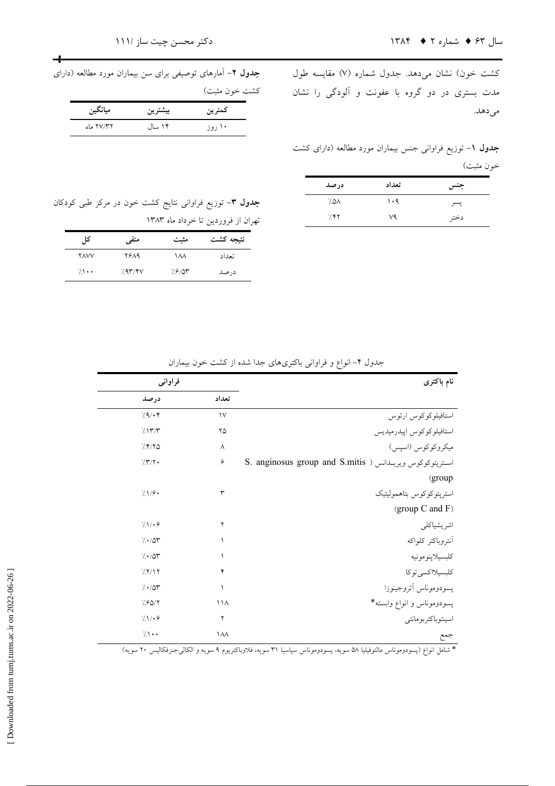كشت خون) نشان مىدهد. جدول شماره (۷) مقايسه طول مدت بستری در دو گروه با عفونت و آلودگی را نشان مي دهد.

**جدول ۱**– توزیع فراوانی جنس بیماران مورد مطالعه (دارای کشت خون مثبت)

| درصد | تعداد | جنس  |
|------|-------|------|
| ۸۵۸. | ۱۰۹   | پسر  |
| 7.88 | ٧٩    | دختر |

جدول ٢- آمارهای توصیفی برای سن بیماران مورد مطالعه (دارای كشت خون مثبت)

 $\rightarrow$ 

|           |         | معارف مبعد |
|-----------|---------|------------|
| ميانگين   | بيشترين | كمترين     |
| ۲۷/۳۲ ماه | ۱۴ سال  | ۱۰ روز     |

جدول ۳- توزیع فراوانی نتایج کشت خون در مرکز طبی کودکان تهران از فروردين تا خرداد ماه ١٣٨٣

| کا ہ         | منفى    | مثبت   | نتيجه كشت |
|--------------|---------|--------|-----------|
| <b>YAVV</b>  | 2689    | ۱۸۸    | تعداد     |
| $\sqrt{1}$ . | 7.95/8V | 7.8/07 | در صد     |

|  |  | جدول ۴– انواع و فراوانی باکتریهای جدا شده از کشت خون بیماران |  |  |
|--|--|--------------------------------------------------------------|--|--|
|--|--|--------------------------------------------------------------|--|--|

| نام باكترى                                                | فراواني        |                   |  |
|-----------------------------------------------------------|----------------|-------------------|--|
|                                                           | تعداد          | درصد              |  |
| استافيلوكوكوس ارئوس                                       | $\mathcal{V}$  | 79.4              |  |
| استافيلوكوكوس اپيدرميديس                                  | ۲۵             | 7.17/T            |  |
| ميكروكوكوس (اسپس)                                         | ٨              | 7.8/80            |  |
| S. anginosus group and S.mitis ) استرپتوکوکوس ویریىدانس ( | ۶              | 777.              |  |
| (group                                                    |                |                   |  |
| استريتوكوكوس بتاهموليتيك                                  | ٣              | 71/9              |  |
| (group C and F)                                           |                |                   |  |
| اشريشياكلي                                                | ٢              | 71.7.9            |  |
| أنتروباكتر كلواكه                                         |                | 7.70              |  |
| كلبسيلاينومونيه                                           |                | $/\cdot/\Delta r$ |  |
| كلبسيلااكسي توكا                                          | ۴              | 77/17             |  |
| يسودوموناس أئروجينوزا                                     | ١              | $/\cdot/\Delta r$ |  |
| پسودوموناس و انواع وابسته*                                | $\binom{1}{4}$ | 7.90/7            |  |
| اسينتوباكتربومانئي                                        | ٢              | 711.9             |  |
| جمع                                                       | ١٨٨            | $\sqrt{1}$ .      |  |
|                                                           |                |                   |  |

.<br>\* شامل انواع (پسودوموناس مالتوفيليا ۵۸ سويه، پسودوموناس سپاسيا ۳۱ سويه، فلاوباکتريوم ۹ سويه و الکال<sub>ۍ</sub>جنزفکاليس ۲۰ سويه)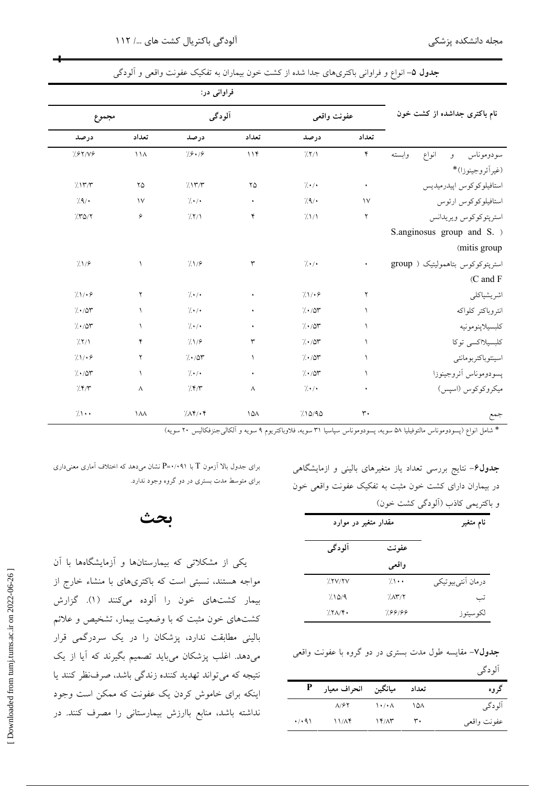|                                   | فراوانی در:          |             |              |                      |               |           |  |
|-----------------------------------|----------------------|-------------|--------------|----------------------|---------------|-----------|--|
| نام باکتری جداشده از کشت خون      |                      | عفونت واقعى | آلودگی       |                      |               | مجموع     |  |
|                                   | تعداد                | درصد        | تعداد        | درصد                 | تعداد         | درصد      |  |
| انواع<br>وابسته<br>سودوموناس<br>و | $\mathbf{\acute{r}}$ | /7/1        | 114          | 7.8.79               | $\bigwedge$   | 7.87/19   |  |
| (غيراًئروجينوزا)*                 |                      |             |              |                      |               |           |  |
| استافيلوكوكوس اپيدرميديس          | ٠                    | 7.7.        | ۲۵           | 7.177                | ۲۵            | 7.177     |  |
| استافيلوكوكوس ارئوس               | $\mathcal{N}$        | 7.9/        | $\bullet$    | 7.7.                 | $\mathcal{V}$ | /4/       |  |
| استرپتوكوكوس ويريدانس             | ۲                    | 71/1        | ۴            | 77/1                 | ۶             | 750/7     |  |
| S.anginosus group and S. >        |                      |             |              |                      |               |           |  |
| (mitis group                      |                      |             |              |                      |               |           |  |
| استرپتوکوکوس بتاهمولیتیک ( group  |                      | 7.1.        | ٣            | 7.1/9                | ١             | 7.1/9     |  |
| (C and F                          |                      |             |              |                      |               |           |  |
| اشريشياكلي                        | ۲                    | 71.7.9      | ٠            | 7.7.                 | ٢             | 71.19     |  |
| انتروباكتر كلواكه                 | $\mathcal{L}$        | 7.707       | ٠            | 7.1.                 | $\sqrt{2}$    | 1.70      |  |
| كلبسيلاپنومونيه                   | $\sqrt{2}$           | 1.107       | $\bullet$    | 1.1                  | $\sqrt{2}$    | 1.107     |  |
| كلبسيلااكسي توكا                  | $\mathcal{L}$        | 1.107       | $\mathsf{r}$ | 71/9                 | ۴             | /7/1      |  |
| اسينتوباكتربومانئي                | ١                    | 7.70        | $\sqrt{2}$   | 7.107                | ۲             | 71.19     |  |
| يسودوموناس أئروجينوزا             | $\mathcal{L}$        | 7.70        | $\bullet$    | 1.1                  | $\sqrt{2}$    | 7.70      |  |
| ميكروكوكوس (اسپس)                 | ٠                    | $/$ ./.     | $\wedge$     | 7.8/7                | $\wedge$      | 7.57      |  |
|                                   |                      |             |              |                      |               |           |  |
| جمع                               | $\mathsf{r}\cdot$    | 710/90      | $\lambda$    | $/\Lambda f/\cdot f$ | $\lambda$     | $/ \cdot$ |  |

جدول ۵– انواع و فراوانی باکتریهای جدا شده از کشت خون بیماران به تفکیک عفونت واقعی و آلودگی

\* شامل انواع (پسودوموناس مالتوفيليا ۵۸ سويه، پسودوموناس سپاسيا ۳۱ سويه، فلاوباکتريوم ۹ سويه و آلکالي جنزفکاليس ۲۰ سويه)

**جدول۶**– نتایج بررسی تعداد یاز متغیرهای بالینی و ازمایشگاهی در بیماران دارای کشت خون مثبت به تفکیک عفونت واقعی خون و باكتريمي كاذب (الودگي كشت خون)

| مقدار متغیر در موارد |        |                 | نام متغير         |
|----------------------|--------|-----------------|-------------------|
|                      | آلودگی | عفونت           |                   |
|                      |        | واقعى           |                   |
|                      | 7.7V/Y | $7 \cdot \cdot$ | درمان أنتىبيوتيكي |
|                      | 710/9  | 7.1             | تب                |
|                      | 7.7A/F | 7.66199         | لكوسيتوز          |

**جدول⁄ا**– مقایسه طول مدت بستری در دو گروه با عفونت واقعی آلو دگی

|                      | تعداد میانگین انحراف معیار P |                |                | گر وه       |
|----------------------|------------------------------|----------------|----------------|-------------|
|                      | $\Lambda$ / $\mathcal{F}$    | ヽ・/・∧          | $\lambda$      | آلودگی      |
| $\cdot$ / $\cdot$ 91 | 11/A                         | $Y'/\Lambda Y$ | $\mathbf{r}$ . | عفونت واقعى |

برای جدول بالا آزمون T با P=٠/٠٩۱ نشان می دهد که اختلاف آماری معنی داری برای متوسط مدت بستری در دو گروه وجود ندارد.

# بحث

یکی از مشکلاتی که بیمارستانها و آزمایشگاهها با آن مواجه هستند، نسبتی است که باکتریهای با منشاء خارج از بیمار کشتهای خون را آلوده میکنند (۱). گزارش کشتهای خون مثبت که با وضعیت بیمار، تشخیص و علائم بالینی مطابقت ندارد، پزشکان را در یک سردرگمی قرار میدهد. اغلب پزشکان میباید تصمیم بگیرند که آیا از یک نتیجه که میتواند تهدید کننده زندگی باشد، صرفنظر کنند یا اینکه برای خاموش کردن یک عفونت که ممکن است وجود نداشته باشد، منابع باارزش بیمارستانی را مصرف کنند. در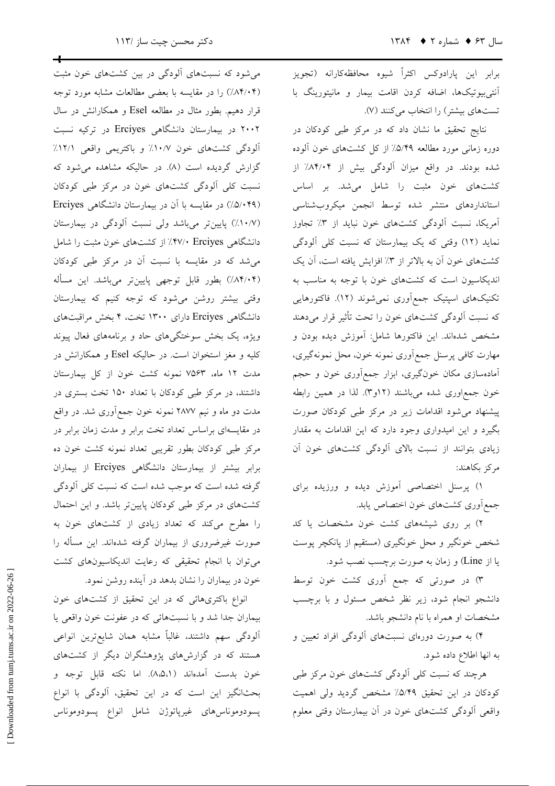برابر این پارادوکس اکثراً شیوه محافظهکارانه (تجویز آنتی بیوتیکها، اضافه کردن اقامت بیمار و مانیتورینگ با تستهای بیشتر) را انتخاب میکنند (۷).

نتایج تحقیق ما نشان داد که در مرکز طبی کودکان در دوره زمانی مورد مطالعه ۵/۴۹٪ از کل کشتهای خون آلوده شده بودند. در واقع میزان آلودگی بیش از ۸۴/۰۴٪ از کشتهای خون مثبت را شامل می شد. بر اساس استانداردهای منتشر شده توسط انجمن میکروبشناسی آمریکا، نسبت آلودگی کشتهای خون نباید از ۳٪ تجاوز نماید (١٢) وقتی که یک بیمارستان که نسبت کلی آلودگی کشتهای خون آن به بالاتر از ۳٪ افزایش یافته است، آن یک اندیکاسیون است که کشتهای خون با توجه به مناسب به تکنیکهای اسپتیک جمع|وری نمیشوند (۱۲). فاکتورهایی که نسبت آلودگی کشتهای خون را تحت تأثیر قرار میدهند .<br>مشخص شدهاند. این فاکتورها شامل: آموزش دیده بودن و مهارت کافی پرسنل جمع اَوري نمونه خون، محل نمونهگیري، آمادهسازی مکان خونگیری، ابزار جمعأوری خون و حجم خون جمع|وری شده میباشند (۱۲و۳). لذا در همین رابطه پیشنهاد می شود اقدامات زیر در مرکز طبی کودکان صورت بگیرد و این امیدواری وجود دارد که این اقدامات به مقدار زیادی بتوانند از نسبت بالای آلودگی کشتهای خون آن مركز بكاهند:

۱) پرسنل اختصاصی آموزش دیده و ورزیده برای جمع آوري كشتهاي خون اختصاص يابد.

۲) بر روی شیشههای کشت خون مشخصات یا کد شخص خونگیر و محل خونگیری (مستقیم از پانکچر پوست یا از Line) و زمان به صورت برچسب نصب شود.

۳) در صورتی که جمع آوری کشت خون توسط دانشجو انجام شود، زیر نظر شخص مسئول و با برچسب مشخصات او همراه با نام دانشجو باشد.

۴) به صورت دورهای نسبتهای آلودگی افراد تعیین و به انها اطلاع داده شود.

هرچند که نسبت کلی آلودگی کشتهای خون مرکز طبی كودكان در اين تحقيق ٥/٤/٩٪ مشخص گرديد ولي اهميت واقعی اَلودگی کشتهای خون در اَن بیمارستان وقتی معلوم

میشود که نسبتهای آلودگی در بین کشتهای خون مثبت (۸۴/۰۴٪) را در مقایسه با بعضی مطالعات مشابه مورد توجه قرار دهیم. بطور مثال در مطالعه Esel و همکارانش در سال ۲۰۰۲ در بیمارستان دانشگاهی Erciyes در ترکیه نسبت آلودگی کشتهای خون ۱۰/۷٪ و باکتریمی واقعی ۱۲/۱٪ گزارش گردیده است (۸). در حالیکه مشاهده میشود که نسبت کلی آلودگی کشتهای خون در مرکز طبی کودکان (۵/۰۴۹) در مقایسه با آن در بیمارستان دانشگاهی Erciyes (١٠/٧٪) پایینتر میباشد ولی نسبت آلودگی در بیمارستان دانشگاهی ۴۷/۰ Erciyes/ از کشتهای خون مثبت را شامل می شد که در مقایسه با نسبت آن در مرکز طبی کودکان (۸۴/۰۴٪) بطور قابل توجهي پايينتر ميباشد. اين مسأله وقتی بیشتر روشن میشود که توجه کنیم که بیمارستان دانشگاهی Erciyes دارای ۱۳۰۰ تخت، ۴ بخش مراقبتهای ویژه، یک بخش سوختگیهای حاد و برنامههای فعال پیوند کلیه و مغز استخوان است. در حالیکه Esel و همکارانش در مدت ١٢ ماه، ٧٥۶٣ نمونه كشت خون از كل بيمارستان داشتند، در مرکز طبی کودکان با تعداد ۱۵۰ تخت بستری در مدت دو ماه و نیم ۲۸۷۷ نمونه خون جمعآوری شد. در واقع در مقایسهای براساس تعداد تخت برابر و مدت زمان برابر در مرکز طبی کودکان بطور تقریبی تعداد نمونه کشت خون ده برابر بیشتر از بیمارستان دانشگاهی Erciyes از بیماران گرفته شده است که موجب شده است که نسبت کلی آلودگی کشتهای در مرکز طبی کودکان پایین تر باشد. و این احتمال را مطرح میکند که تعداد زیادی از کشتهای خون به صورت غیرضروری از بیماران گرفته شدهاند. این مسأله را میتوان با انجام تحقیقی که رعایت اندیکاسیونهای کشت خون در بیماران را نشان بدهد در آینده روشن نمود.

انواع باکتریهائی که در این تحقیق از کشتهای خون بيماران جدا شد و با نسبتهائي كه در عفونت خون واقعي يا الودگی سهم داشتند، غالباً مشابه همان شایعترین انواعی هستند که در گزارشهای پژوهشگران دیگر از کشتهای خون بدست آمدهاند (٨،۵،١). اما نكته قابل توجه و بحثانگیز این است که در این تحقیق، آلودگی با انواع پسودوموناسرهای غیرپاتوژن شامل انواع پسودوموناس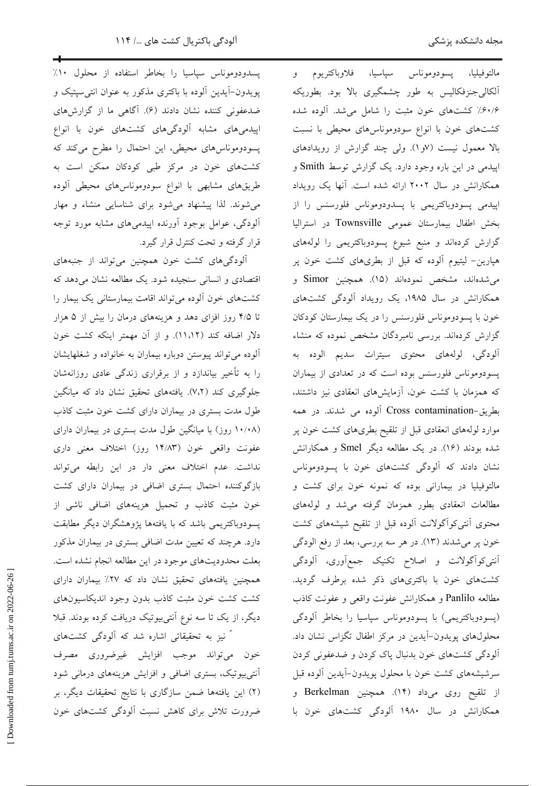پسدودوموناس سپاسیا را بخاطر استفاده از محلول ۱۰٪ مالتوفيليا، پسودوموناس سپاسيا، فلاوباكتريوم و پویدون-آیدین آلوده با باکتری مذکور به عنوان انتی سپتیک و آلکالی جنزفکالیس به طور چشمگیری بالا بود. بطوریکه ضدعفونی کننده نشان دادند (۶). آگاهی ما از گزارشهای ۶۰/۶٪ کشتهای خون مثبت را شامل می شد. آلوده شده اپیدمیهای مشابه آلودگیهای کشتهای خون با انواع کشتهای خون با انواع سودوموناسهای محیطی با نسبت پسودوموناس های محیطی، این احتمال را مطرح میکند که بالا معمول نیست (۷و۱). ولی چند گزارش از رویدادهای کشتهای خون در مرکز طبی کودکان ممکن است به اپیدمی در این باره وجود دارد. یک گزارش توسط Smith و طریقهای مشابهی با انواع سودوموناسهای محیطی آلوده همکارانش در سال ۲۰۰۲ ارائه شده است. آنها یک رویداد می شوند. لذا پیشنهاد می شود برای شناسایی منشاء و مهار اپیدمی پسودوباکتریمی با پسدودوموناس فلورسنس را از بخش اطفال بیمارستان عمومی Townsville در استرالیا آلودگی، عوامل بوجود آورنده اپیدمیهای مشابه مورد توجه قرار گرفته و تحت کنترل قرار گیرد. گزارش کردهاند و منبع شیوع پسودوباکتریمی را لولههای آلودگی های کشت خون همچنین می تواند از جنبههای هپارین- لیتیوم آلوده که قبل از بطریهای کشت خون پر می شدهاند، مشخص نمودهاند (۱۵). همچنین Simor و اقتصادی و انسانی سنجیده شود. یک مطالعه نشان میدهد که کشتهای خون آلوده میتواند اقامت بیمارستانی یک بیمار را همکارانش در سال ۱۹۸۵، یک رویداد آلودگی کشتهای تا ۴/۵ روز افزای دهد و هزینههای درمان را بیش از ۵ هزار خون با پسودوموناس فلورسنس را در یک بیمارستان کودکان دلار اضافه كند (١١،١٢). و از آن مهمتر اينكه كشت خون گزارش کردهاند. بررسی نامبردگان مشخص نموده که منشاء آلودگی، لولههای محتوی سیترات سدیم الوده به آلوده می تواند پیوستن دوباره بیماران به خانواده و شغلهایشان را به تأخیر بیاندازد و از برقراری زندگی عادی روزانهشان پسودوموناس فلورسنس بوده است که در تعدادی از بیماران جلوگیری کند (٧،٢). یافتههای تحقیق نشان داد که میانگین که همزمان با کشت خون، آزمایشهای انعقادی نیز داشتند، طول مدت بستری در بیماران دارای کشت خون مثبت کاذب بطريق-Cross contamination آلوده مي شدند. در همه (۱۰/۰۸ روز) با میانگین طول مدت بستری در بیماران دارای موارد لولههای انعقادی قبل از تلقیح بطریهای کشت خون پر شده بودند (۱۶). در یک مطالعه دیگر Smel و همکارانش عفونت واقعی خون (۱۴/۸۳ روز) اختلاف معنی داری نداشت. عدم اختلاف معنی دار در این رابطه میتواند .<br>نشان دادند که آلودگی کشتهای خون با پسودوموناس بازگوکننده احتمال بستری اضافی در بیماران دارای کشت مالتوفیلیا در بیمارانی بوده که نمونه خون برای کشت و مطالعات انعقادی بطور همزمان گرفته می شد و لولههای خون مثبت كاذب و تحميل هزينههاي اضافي ناشى از پسودوباکتریمی باشد که با یافتهها پژوهشگران دیگر مطابقت محتوى أنتى كواًگولانت ألوده قبل از تلقيح شيشههاى كشت دارد. هرچند که تعیین مدت اضافی بستری در بیماران مذکور خون پر میشدند (۱۳). در هر سه بررسی، بعد از رفع الودگی بعلت محدودیتهای موجود در این مطالعه انجام نشده است. أنتي كواًگولانت و اصلاح تكنيك جمع أوري، ألودگي کشتهای خون با باکتریهای ذکر شده برطرف گردید. همچنین یافتههای تحقیق نشان داد که ۲۷٪ بیماران دارای مطالعه Panlilo و همكارانش عفونت واقعى و عفونت كاذب كشت كشت خون مثبت كاذب بدون وجود انديكاسيون هاى دیگر، از یک تا سه نوع آنتیبیوتیک دریافت کرده بودند. قبلا (پسودوباکتریمی) با پسودوموناس سیاسیا را بخاطر آلودگی ً نیز به تحقیقاتی اشاره شد که آلودگی کشتهای محلولهای پویدون-آیدین در مرکز اطفال تگزاس نشان داد.

آلودگی کشتهای خون بدنبال پاک کردن و ضدعفونی کردن

سرشیشههای کشت خون با محلول پویدون-آیدین آلوده قبل

از تلقيح روى مىداد (١۴). همچنين Berkelman و

همکارانش در سال ۱۹۸۰ آلودگی کشتهای خون با

خون ميتواند موجب افزايش غيرضروري مصرف آنتیبیوتیک، بستری اضافی و افزایش هزینههای درمانی شود (۲) این یافتهها ضمن سازگاری با نتایج تحقیقات دیگر، بر ضرورت تلاش براى كاهش نسبت ألودگي كشتهاى خون

Downloaded from tumj.tums.ac.ir on 2022-06-26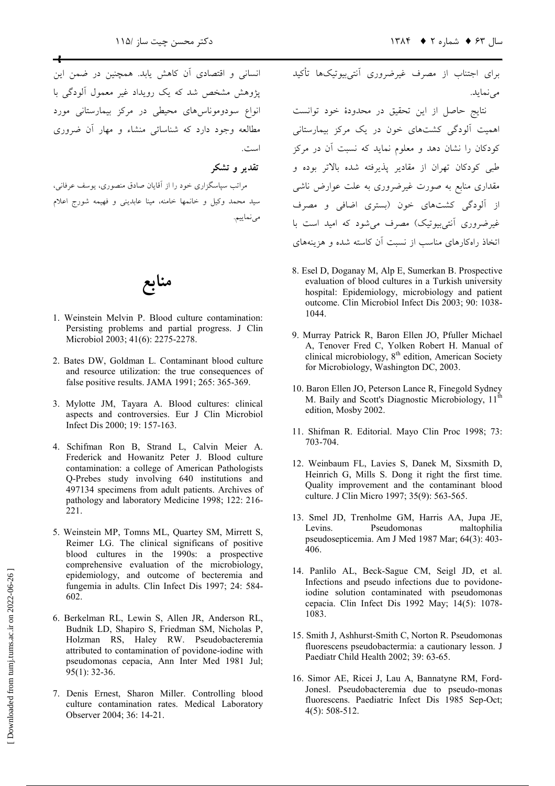انسانی و اقتصادی آن کاهش یابد. همچنین در ضمن این یژوهش مشخص شد که یک رویداد غیر معمول آلودگی با .<br>انواع سودوموناس های محیطی در مرکز پیمارستانی مورد مطالعه وجود دارد که شناسائی منشاء و مهار آن ضروری است.

تقدیر و تشکہ

مراتب سپاسگزاری خود را از آقایان صادق منصوری، یوسف عرفانی، سید محمد وکیل و خانمها خامنه، مینا عابدینی و فهیمه شورج اعلام مى نماييم.

منابع

- 1. Weinstein Melvin P. Blood culture contamination: Persisting problems and partial progress. J Clin Microbiol 2003; 41(6): 2275-2278.
- 2. Bates DW, Goldman L. Contaminant blood culture and resource utilization: the true consequences of false positive results. JAMA 1991; 265: 365-369.
- 3. Mylotte JM, Tayara A. Blood cultures: clinical aspects and controversies. Eur J Clin Microbiol Infect Dis 2000: 19: 157-163.
- 4. Schifman Ron B, Strand L, Calvin Meier A. Frederick and Howanitz Peter J. Blood culture contamination: a college of American Pathologists Q-Prebes study involving 640 institutions and 497134 specimens from adult patients. Archives of pathology and laboratory Medicine 1998; 122: 216-221.
- 5. Weinstein MP, Tomns ML, Quartey SM, Mirrett S, Reimer LG. The clinical significans of positive blood cultures in the 1990s: a prospective comprehensive evaluation of the microbiology, epidemiology, and outcome of becteremia and fungemia in adults. Clin Infect Dis 1997; 24: 584-602.
- 6. Berkelman RL, Lewin S, Allen JR, Anderson RL, Budnik LD, Shapiro S, Friedman SM, Nicholas P, Holzman RS, Haley RW. Pseudobacteremia attributed to contamination of povidone-iodine with pseudomonas cepacia, Ann Inter Med 1981 Jul;  $95(1)$ : 32-36.
- 7. Denis Ernest, Sharon Miller. Controlling blood culture contamination rates. Medical Laboratory Observer 2004; 36: 14-21.

برای اجتناب از مصرف غیرضروری آنتی بیوتیکها تأکید می نماید.

.<br>نتایج حاصل از این تحقیق در محدودهٔ خود توانست ۔<br>اهمیت آلودگی کشتهای خون در یک مرکز بیمارستانی کودکان را نشان دهد و معلوم نماید که نسبت آن در مرکز طبی کودکان تهران از مقادیر پذیرفته شده بالاتر بوده و مقداری منابع به صورت غیرضروری به علت عوارض ناش*ی* از آلودگی کشتهای خون (بستری اضافی و مصرف غیرضروری اَنتے بیوتیک) مصرف می شود که امید است با .<br>اتخاذ راهکارهای مناسب از نسبت آن کاسته شده و هزینههای

- 8. Esel D, Doganay M, Alp E, Sumerkan B. Prospective evaluation of blood cultures in a Turkish university hospital: Epidemiology, microbiology and patient outcome. Clin Microbiol Infect Dis 2003; 90: 1038-1044.
- 9. Murray Patrick R, Baron Ellen JO, Pfuller Michael A, Tenover Fred C, Yolken Robert H. Manual of clinical microbiology, 8<sup>th</sup> edition, American Society for Microbiology, Washington DC, 2003.
- 10. Baron Ellen JO, Peterson Lance R, Finegold Sydney M. Baily and Scott's Diagnostic Microbiology, 11<sup>th</sup> edition, Mosby 2002.
- 11. Shifman R. Editorial. Mayo Clin Proc 1998; 73: 703-704.
- 12. Weinbaum FL, Lavies S, Danek M, Sixsmith D, Heinrich G, Mills S. Dong it right the first time. Quality improvement and the contaminant blood culture. J Clin Micro 1997; 35(9): 563-565.
- 13. Smel JD, Trenholme GM, Harris AA, Jupa JE, Levins Pseudomonas maltophilia pseudosepticemia. Am J Med 1987 Mar; 64(3): 403-406.
- 14. Panlilo AL, Beck-Sague CM, Seigl JD, et al. Infections and pseudo infections due to povidoneiodine solution contaminated with pseudomonas cepacia. Clin Infect Dis 1992 May; 14(5): 1078-1083.
- 15. Smith J, Ashhurst-Smith C, Norton R. Pseudomonas fluorescens pseudobactermia: a cautionary lesson. J Paediatr Child Health 2002; 39: 63-65.
- 16. Simor AE, Ricei J, Lau A, Bannatyne RM, Ford-Jonesl. Pseudobacteremia due to pseudo-monas fluorescens. Paediatric Infect Dis 1985 Sep-Oct;  $4(5)$ : 508-512.